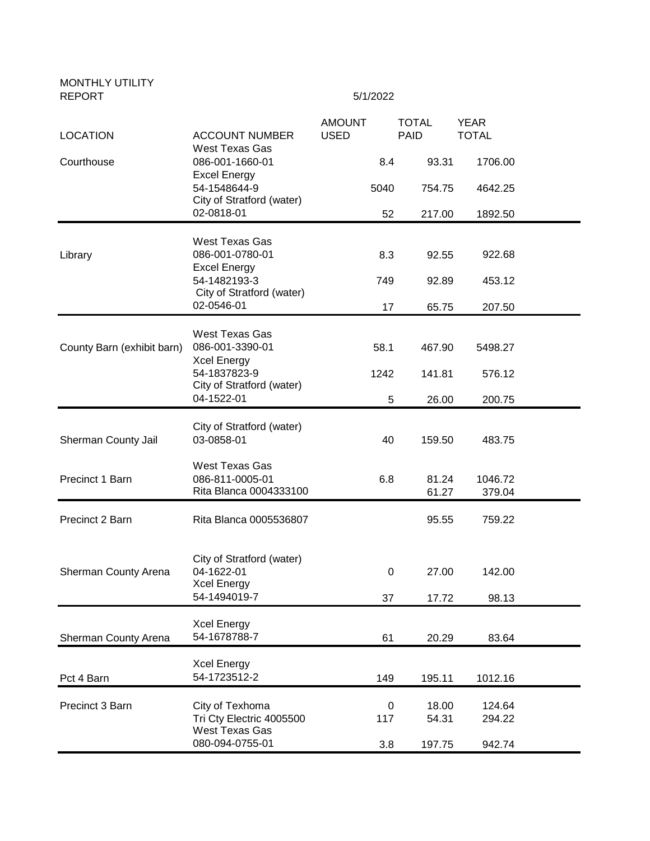| <b>MONTHLY UTILITY</b><br><b>REPORT</b> | 5/1/2022                                                                                                           |                              |                             |                             |  |
|-----------------------------------------|--------------------------------------------------------------------------------------------------------------------|------------------------------|-----------------------------|-----------------------------|--|
| <b>LOCATION</b>                         | <b>ACCOUNT NUMBER</b>                                                                                              | <b>AMOUNT</b><br><b>USED</b> | <b>TOTAL</b><br><b>PAID</b> | <b>YEAR</b><br><b>TOTAL</b> |  |
| Courthouse                              | West Texas Gas<br>086-001-1660-01                                                                                  |                              | 93.31<br>8.4                | 1706.00                     |  |
|                                         | <b>Excel Energy</b><br>54-1548644-9                                                                                |                              | 5040<br>754.75              | 4642.25                     |  |
|                                         | City of Stratford (water)<br>02-0818-01                                                                            |                              | 52<br>217.00                | 1892.50                     |  |
| Library                                 | West Texas Gas<br>086-001-0780-01                                                                                  |                              | 8.3<br>92.55                | 922.68                      |  |
|                                         | <b>Excel Energy</b><br>54-1482193-3<br>City of Stratford (water)                                                   |                              | 749<br>92.89                | 453.12                      |  |
|                                         | 02-0546-01                                                                                                         |                              | 17<br>65.75                 | 207.50                      |  |
| County Barn (exhibit barn)              | West Texas Gas<br>086-001-3390-01<br><b>Xcel Energy</b><br>54-1837823-9<br>City of Stratford (water)<br>04-1522-01 |                              | 58.1<br>467.90              | 5498.27                     |  |
|                                         |                                                                                                                    |                              | 1242<br>141.81              | 576.12                      |  |
|                                         |                                                                                                                    |                              | 5<br>26.00                  | 200.75                      |  |
| Sherman County Jail                     | City of Stratford (water)<br>03-0858-01                                                                            |                              | 159.50<br>40                | 483.75                      |  |
| Precinct 1 Barn                         | West Texas Gas<br>086-811-0005-01<br>Rita Blanca 0004333100                                                        |                              | 6.8<br>81.24<br>61.27       | 1046.72<br>379.04           |  |
| Precinct 2 Barn                         | Rita Blanca 0005536807                                                                                             |                              | 95.55                       | 759.22                      |  |
| Sherman County Arena                    | City of Stratford (water)<br>04-1622-01<br><b>Xcel Energy</b><br>54-1494019-7                                      |                              | 27.00<br>0<br>37<br>17.72   | 142.00<br>98.13             |  |
| Sherman County Arena                    | <b>Xcel Energy</b><br>54-1678788-7                                                                                 |                              | 61<br>20.29                 | 83.64                       |  |
| Pct 4 Barn                              | <b>Xcel Energy</b><br>54-1723512-2                                                                                 |                              | 149<br>195.11               | 1012.16                     |  |
| Precinct 3 Barn                         | City of Texhoma<br>Tri Cty Electric 4005500                                                                        |                              | 18.00<br>0<br>54.31<br>117  | 124.64<br>294.22            |  |
|                                         | West Texas Gas<br>080-094-0755-01                                                                                  |                              | 3.8<br>197.75               | 942.74                      |  |